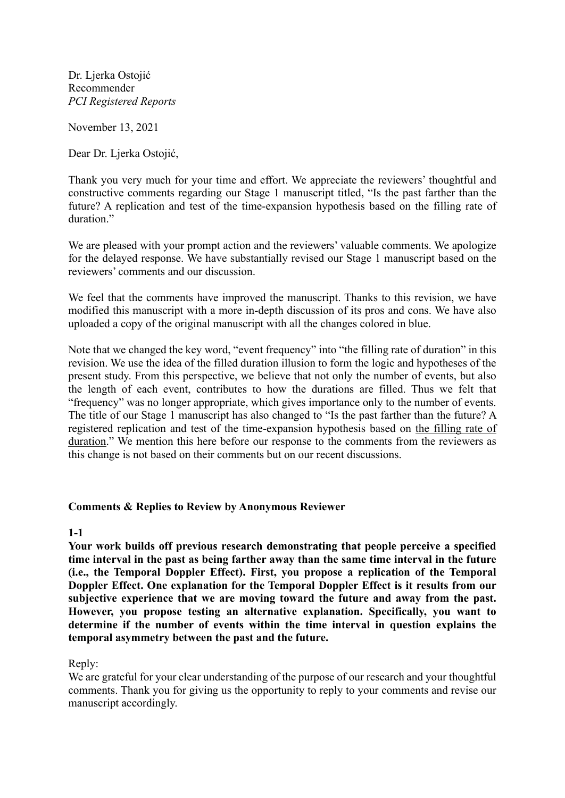Dr. Ljerka Ostojić Recommender *PCI Registered Reports*

November 13, 2021

Dear Dr. Ljerka Ostojić,

Thank you very much for your time and effort. We appreciate the reviewers' thoughtful and constructive comments regarding our Stage 1 manuscript titled, "Is the past farther than the future? A replication and test of the time-expansion hypothesis based on the filling rate of duration."

We are pleased with your prompt action and the reviewers' valuable comments. We apologize for the delayed response. We have substantially revised our Stage 1 manuscript based on the reviewers' comments and our discussion.

We feel that the comments have improved the manuscript. Thanks to this revision, we have modified this manuscript with a more in-depth discussion of its pros and cons. We have also uploaded a copy of the original manuscript with all the changes colored in blue.

Note that we changed the key word, "event frequency" into "the filling rate of duration" in this revision. We use the idea of the filled duration illusion to form the logic and hypotheses of the present study. From this perspective, we believe that not only the number of events, but also the length of each event, contributes to how the durations are filled. Thus we felt that "frequency" was no longer appropriate, which gives importance only to the number of events. The title of our Stage 1 manuscript has also changed to "Is the past farther than the future? A registered replication and test of the time-expansion hypothesis based on the filling rate of duration." We mention this here before our response to the comments from the reviewers as this change is not based on their comments but on our recent discussions.

#### **Comments & Replies to Review by Anonymous Reviewer**

**1-1**

**Your work builds off previous research demonstrating that people perceive a specified time interval in the past as being farther away than the same time interval in the future (i.e., the Temporal Doppler Effect). First, you propose a replication of the Temporal Doppler Effect. One explanation for the Temporal Doppler Effect is it results from our subjective experience that we are moving toward the future and away from the past. However, you propose testing an alternative explanation. Specifically, you want to determine if the number of events within the time interval in question explains the temporal asymmetry between the past and the future.**

Reply:

We are grateful for your clear understanding of the purpose of our research and your thoughtful comments. Thank you for giving us the opportunity to reply to your comments and revise our manuscript accordingly.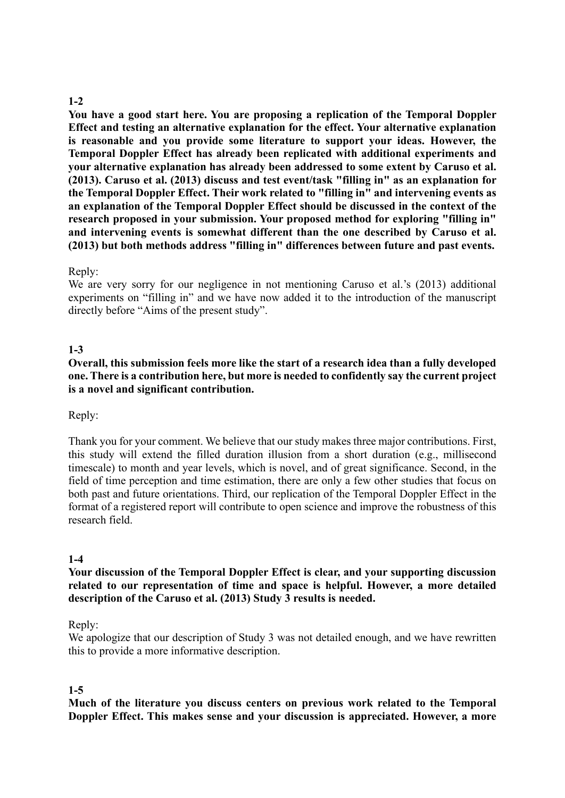## **1-2**

**You have a good start here. You are proposing a replication of the Temporal Doppler Effect and testing an alternative explanation for the effect. Your alternative explanation is reasonable and you provide some literature to support your ideas. However, the Temporal Doppler Effect has already been replicated with additional experiments and your alternative explanation has already been addressed to some extent by Caruso et al. (2013). Caruso et al. (2013) discuss and test event/task "filling in" as an explanation for the Temporal Doppler Effect. Their work related to "filling in" and intervening events as an explanation of the Temporal Doppler Effect should be discussed in the context of the research proposed in your submission. Your proposed method for exploring "filling in" and intervening events is somewhat different than the one described by Caruso et al. (2013) but both methods address "filling in" differences between future and past events.**

#### Reply:

We are very sorry for our negligence in not mentioning Caruso et al.'s (2013) additional experiments on "filling in" and we have now added it to the introduction of the manuscript directly before "Aims of the present study".

### **1-3**

**Overall, this submission feels more like the start of a research idea than a fully developed one. There is a contribution here, but more is needed to confidently say the current project is a novel and significant contribution.**

Reply:

Thank you for your comment. We believe that our study makes three major contributions. First, this study will extend the filled duration illusion from a short duration (e.g., millisecond timescale) to month and year levels, which is novel, and of great significance. Second, in the field of time perception and time estimation, there are only a few other studies that focus on both past and future orientations. Third, our replication of the Temporal Doppler Effect in the format of a registered report will contribute to open science and improve the robustness of this research field.

#### **1-4**

**Your discussion of the Temporal Doppler Effect is clear, and your supporting discussion related to our representation of time and space is helpful. However, a more detailed description of the Caruso et al. (2013) Study 3 results is needed.**

#### Reply:

We apologize that our description of Study 3 was not detailed enough, and we have rewritten this to provide a more informative description.

#### **1-5**

**Much of the literature you discuss centers on previous work related to the Temporal Doppler Effect. This makes sense and your discussion is appreciated. However, a more**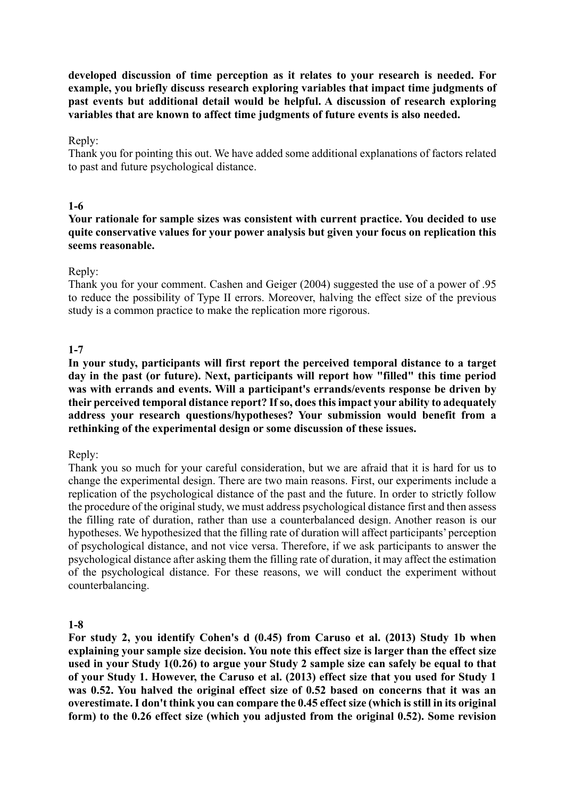**developed discussion of time perception as it relates to your research is needed. For example, you briefly discuss research exploring variables that impact time judgments of past events but additional detail would be helpful. A discussion of research exploring variables that are known to affect time judgments of future events is also needed.**

#### Reply:

Thank you for pointing this out. We have added some additional explanations of factors related to past and future psychological distance.

### **1-6**

#### **Your rationale for sample sizes was consistent with current practice. You decided to use quite conservative values for your power analysis but given your focus on replication this seems reasonable.**

### Reply:

Thank you for your comment. Cashen and Geiger (2004) suggested the use of a power of .95 to reduce the possibility of Type II errors. Moreover, halving the effect size of the previous study is a common practice to make the replication more rigorous.

### **1-7**

**In your study, participants will first report the perceived temporal distance to a target day in the past (or future). Next, participants will report how "filled" this time period was with errands and events. Will a participant's errands/events response be driven by their perceived temporal distance report? If so, does this impact your ability to adequately address your research questions/hypotheses? Your submission would benefit from a rethinking of the experimental design or some discussion of these issues.**

#### Reply:

Thank you so much for your careful consideration, but we are afraid that it is hard for us to change the experimental design. There are two main reasons. First, our experiments include a replication of the psychological distance of the past and the future. In order to strictly follow the procedure of the original study, we must address psychological distance first and then assess the filling rate of duration, rather than use a counterbalanced design. Another reason is our hypotheses. We hypothesized that the filling rate of duration will affect participants' perception of psychological distance, and not vice versa. Therefore, if we ask participants to answer the psychological distance after asking them the filling rate of duration, it may affect the estimation of the psychological distance. For these reasons, we will conduct the experiment without counterbalancing.

#### **1-8**

**For study 2, you identify Cohen's d (0.45) from Caruso et al. (2013) Study 1b when explaining your sample size decision. You note this effect size is larger than the effect size used in your Study 1(0.26) to argue your Study 2 sample size can safely be equal to that of your Study 1. However, the Caruso et al. (2013) effect size that you used for Study 1 was 0.52. You halved the original effect size of 0.52 based on concerns that it was an overestimate. I don't think you can compare the 0.45 effect size (which is still in its original form) to the 0.26 effect size (which you adjusted from the original 0.52). Some revision**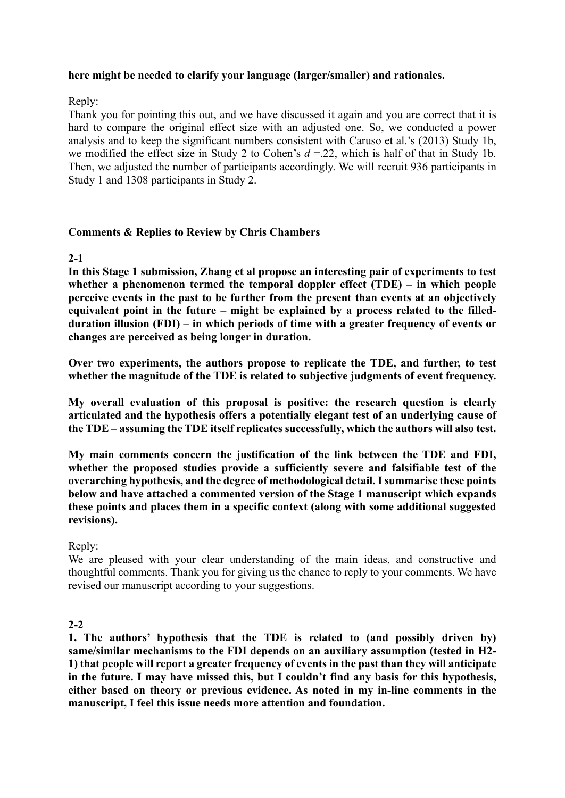### **here might be needed to clarify your language (larger/smaller) and rationales.**

## Reply:

Thank you for pointing this out, and we have discussed it again and you are correct that it is hard to compare the original effect size with an adjusted one. So, we conducted a power analysis and to keep the significant numbers consistent with Caruso et al.'s (2013) Study 1b, we modified the effect size in Study 2 to Cohen's *d* =.22, which is half of that in Study 1b. Then, we adjusted the number of participants accordingly. We will recruit 936 participants in Study 1 and 1308 participants in Study 2.

### **Comments & Replies to Review by Chris Chambers**

### **2-1**

**In this Stage 1 submission, Zhang et al propose an interesting pair of experiments to test whether a phenomenon termed the temporal doppler effect (TDE) – in which people perceive events in the past to be further from the present than events at an objectively equivalent point in the future – might be explained by a process related to the filledduration illusion (FDI) – in which periods of time with a greater frequency of events or changes are perceived as being longer in duration.**

**Over two experiments, the authors propose to replicate the TDE, and further, to test whether the magnitude of the TDE is related to subjective judgments of event frequency.**

**My overall evaluation of this proposal is positive: the research question is clearly articulated and the hypothesis offers a potentially elegant test of an underlying cause of the TDE – assuming the TDE itself replicates successfully, which the authors will also test.**

**My main comments concern the justification of the link between the TDE and FDI, whether the proposed studies provide a sufficiently severe and falsifiable test of the overarching hypothesis, and the degree of methodological detail. I summarise these points below and have attached a commented version of the Stage 1 manuscript which expands these points and places them in a specific context (along with some additional suggested revisions).**

#### Reply:

We are pleased with your clear understanding of the main ideas, and constructive and thoughtful comments. Thank you for giving us the chance to reply to your comments. We have revised our manuscript according to your suggestions.

## **2-2**

**1. The authors' hypothesis that the TDE is related to (and possibly driven by) same/similar mechanisms to the FDI depends on an auxiliary assumption (tested in H2- 1) that people will report a greater frequency of events in the past than they will anticipate in the future. I may have missed this, but I couldn't find any basis for this hypothesis, either based on theory or previous evidence. As noted in my in-line comments in the manuscript, I feel this issue needs more attention and foundation.**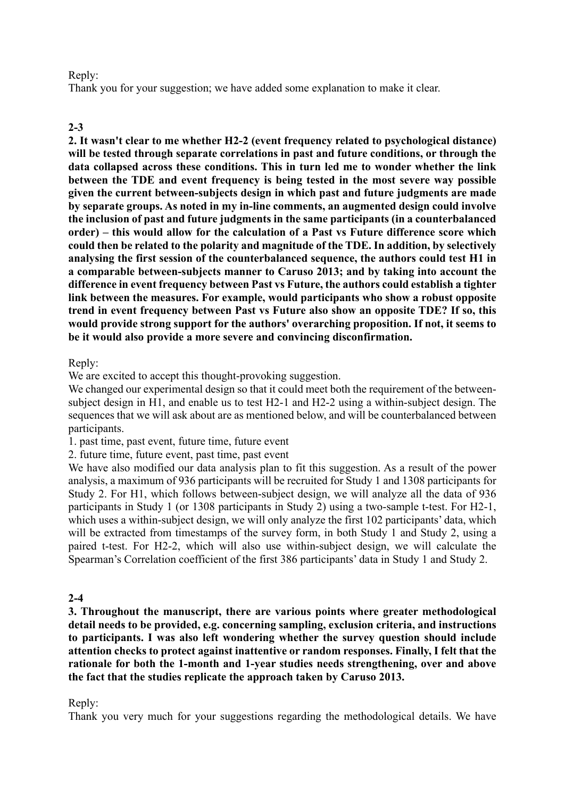#### Reply:

Thank you for your suggestion; we have added some explanation to make it clear.

#### **2-3**

**2. It wasn't clear to me whether H2-2 (event frequency related to psychological distance) will be tested through separate correlations in past and future conditions, or through the data collapsed across these conditions. This in turn led me to wonder whether the link between the TDE and event frequency is being tested in the most severe way possible given the current between-subjects design in which past and future judgments are made by separate groups. As noted in my in-line comments, an augmented design could involve the inclusion of past and future judgments in the same participants (in a counterbalanced order) – this would allow for the calculation of a Past vs Future difference score which could then be related to the polarity and magnitude of the TDE. In addition, by selectively analysing the first session of the counterbalanced sequence, the authors could test H1 in a comparable between-subjects manner to Caruso 2013; and by taking into account the difference in event frequency between Past vs Future, the authors could establish a tighter link between the measures. For example, would participants who show a robust opposite trend in event frequency between Past vs Future also show an opposite TDE? If so, this would provide strong support for the authors' overarching proposition. If not, it seems to be it would also provide a more severe and convincing disconfirmation.**

Reply:

We are excited to accept this thought-provoking suggestion.

We changed our experimental design so that it could meet both the requirement of the betweensubject design in H1, and enable us to test H2-1 and H2-2 using a within-subject design. The sequences that we will ask about are as mentioned below, and will be counterbalanced between participants.

1. past time, past event, future time, future event

2. future time, future event, past time, past event

We have also modified our data analysis plan to fit this suggestion. As a result of the power analysis, a maximum of 936 participants will be recruited for Study 1 and 1308 participants for Study 2. For H1, which follows between-subject design, we will analyze all the data of 936 participants in Study 1 (or 1308 participants in Study 2) using a two-sample t-test. For H2-1, which uses a within-subject design, we will only analyze the first 102 participants' data, which will be extracted from timestamps of the survey form, in both Study 1 and Study 2, using a paired t-test. For H2-2, which will also use within-subject design, we will calculate the Spearman's Correlation coefficient of the first 386 participants' data in Study 1 and Study 2.

#### **2-4**

**3. Throughout the manuscript, there are various points where greater methodological detail needs to be provided, e.g. concerning sampling, exclusion criteria, and instructions to participants. I was also left wondering whether the survey question should include attention checks to protect against inattentive or random responses. Finally, I felt that the rationale for both the 1-month and 1-year studies needs strengthening, over and above the fact that the studies replicate the approach taken by Caruso 2013.**

#### Reply:

Thank you very much for your suggestions regarding the methodological details. We have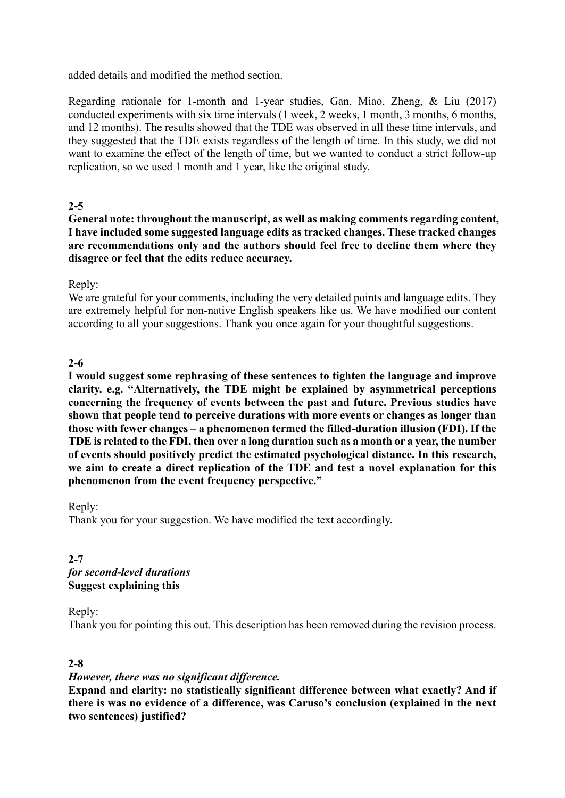added details and modified the method section.

Regarding rationale for 1-month and 1-year studies, Gan, Miao, Zheng, & Liu (2017) conducted experiments with six time intervals (1 week, 2 weeks, 1 month, 3 months, 6 months, and 12 months). The results showed that the TDE was observed in all these time intervals, and they suggested that the TDE exists regardless of the length of time. In this study, we did not want to examine the effect of the length of time, but we wanted to conduct a strict follow-up replication, so we used 1 month and 1 year, like the original study.

# **2-5**

**General note: throughout the manuscript, as well as making comments regarding content, I have included some suggested language edits as tracked changes. These tracked changes are recommendations only and the authors should feel free to decline them where they disagree or feel that the edits reduce accuracy.**

## Reply:

We are grateful for your comments, including the very detailed points and language edits. They are extremely helpful for non-native English speakers like us. We have modified our content according to all your suggestions. Thank you once again for your thoughtful suggestions.

# **2-6**

**I would suggest some rephrasing of these sentences to tighten the language and improve clarity. e.g. "Alternatively, the TDE might be explained by asymmetrical perceptions concerning the frequency of events between the past and future. Previous studies have shown that people tend to perceive durations with more events or changes as longer than those with fewer changes – a phenomenon termed the filled-duration illusion (FDI). If the TDE is related to the FDI, then over a long duration such as a month or a year, the number of events should positively predict the estimated psychological distance. In this research, we aim to create a direct replication of the TDE and test a novel explanation for this phenomenon from the event frequency perspective."**

Reply:

Thank you for your suggestion. We have modified the text accordingly.

**2-7** *for second-level durations* **Suggest explaining this**

Reply:

Thank you for pointing this out. This description has been removed during the revision process.

## **2-8**

## *However, there was no significant difference.*

**Expand and clarity: no statistically significant difference between what exactly? And if there is was no evidence of a difference, was Caruso's conclusion (explained in the next two sentences) justified?**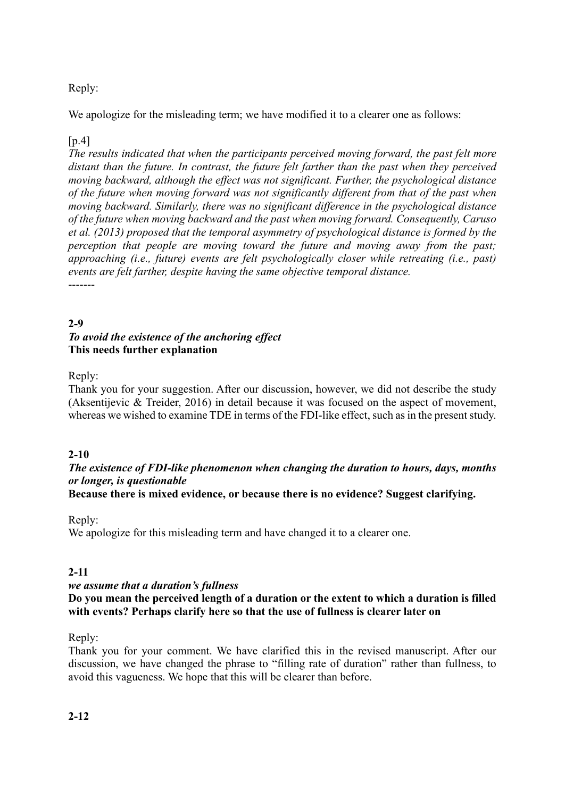# Reply:

We apologize for the misleading term; we have modified it to a clearer one as follows:

## $[p.4]$

*The results indicated that when the participants perceived moving forward, the past felt more distant than the future. In contrast, the future felt farther than the past when they perceived moving backward, although the effect was not significant. Further, the psychological distance of the future when moving forward was not significantly different from that of the past when moving backward. Similarly, there was no significant difference in the psychological distance of the future when moving backward and the past when moving forward. Consequently, Caruso et al. (2013) proposed that the temporal asymmetry of psychological distance is formed by the perception that people are moving toward the future and moving away from the past; approaching (i.e., future) events are felt psychologically closer while retreating (i.e., past) events are felt farther, despite having the same objective temporal distance.* -------

## **2-9** *To avoid the existence of the anchoring effect* **This needs further explanation**

## Reply:

Thank you for your suggestion. After our discussion, however, we did not describe the study (Aksentijevic & Treider, 2016) in detail because it was focused on the aspect of movement, whereas we wished to examine TDE in terms of the FDI-like effect, such as in the present study.

## **2-10**

# *The existence of FDI-like phenomenon when changing the duration to hours, days, months or longer, is questionable*

**Because there is mixed evidence, or because there is no evidence? Suggest clarifying.**

#### Reply:

We apologize for this misleading term and have changed it to a clearer one.

## **2-11**

#### *we assume that a duration's fullness*

### **Do you mean the perceived length of a duration or the extent to which a duration is filled with events? Perhaps clarify here so that the use of fullness is clearer later on**

#### Reply:

Thank you for your comment. We have clarified this in the revised manuscript. After our discussion, we have changed the phrase to "filling rate of duration" rather than fullness, to avoid this vagueness. We hope that this will be clearer than before.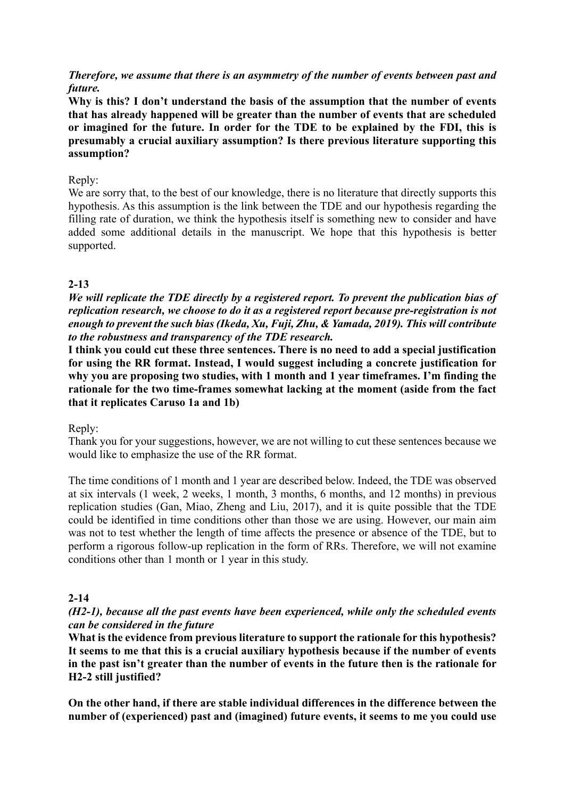*Therefore, we assume that there is an asymmetry of the number of events between past and future.*

**Why is this? I don't understand the basis of the assumption that the number of events that has already happened will be greater than the number of events that are scheduled or imagined for the future. In order for the TDE to be explained by the FDI, this is presumably a crucial auxiliary assumption? Is there previous literature supporting this assumption?**

## Reply:

We are sorry that, to the best of our knowledge, there is no literature that directly supports this hypothesis. As this assumption is the link between the TDE and our hypothesis regarding the filling rate of duration, we think the hypothesis itself is something new to consider and have added some additional details in the manuscript. We hope that this hypothesis is better supported.

## **2-13**

*We will replicate the TDE directly by a registered report. To prevent the publication bias of replication research, we choose to do it as a registered report because pre-registration is not enough to prevent the such bias (Ikeda, Xu, Fuji, Zhu, & Yamada, 2019). This will contribute to the robustness and transparency of the TDE research.* 

**I think you could cut these three sentences. There is no need to add a special justification for using the RR format. Instead, I would suggest including a concrete justification for why you are proposing two studies, with 1 month and 1 year timeframes. I'm finding the rationale for the two time-frames somewhat lacking at the moment (aside from the fact that it replicates Caruso 1a and 1b)**

Reply:

Thank you for your suggestions, however, we are not willing to cut these sentences because we would like to emphasize the use of the RR format.

The time conditions of 1 month and 1 year are described below. Indeed, the TDE was observed at six intervals (1 week, 2 weeks, 1 month, 3 months, 6 months, and 12 months) in previous replication studies (Gan, Miao, Zheng and Liu, 2017), and it is quite possible that the TDE could be identified in time conditions other than those we are using. However, our main aim was not to test whether the length of time affects the presence or absence of the TDE, but to perform a rigorous follow-up replication in the form of RRs. Therefore, we will not examine conditions other than 1 month or 1 year in this study.

## **2-14**

### *(H2-1), because all the past events have been experienced, while only the scheduled events can be considered in the future*

**What is the evidence from previous literature to support the rationale for this hypothesis? It seems to me that this is a crucial auxiliary hypothesis because if the number of events in the past isn't greater than the number of events in the future then is the rationale for H2-2 still justified?**

**On the other hand, if there are stable individual differences in the difference between the number of (experienced) past and (imagined) future events, it seems to me you could use**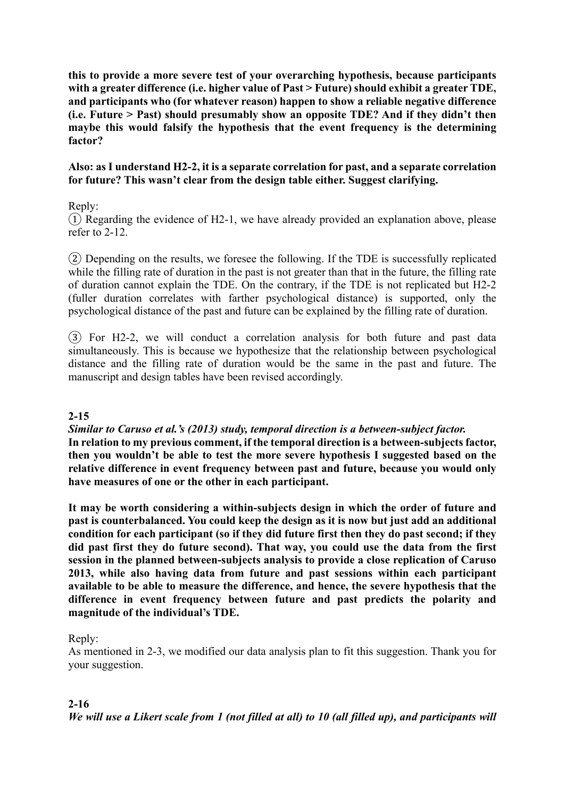**this to provide a more severe test of your overarching hypothesis, because participants with a greater difference (i.e. higher value of Past > Future) should exhibit a greater TDE, and participants who (for whatever reason) happen to show a reliable negative difference (i.e. Future > Past) should presumably show an opposite TDE? And if they didn't then maybe this would falsify the hypothesis that the event frequency is the determining factor?** 

## **Also: as I understand H2-2, it is a separate correlation for past, and a separate correlation for future? This wasn't clear from the design table either. Suggest clarifying.**

## Reply:

① Regarding the evidence of H2-1, we have already provided an explanation above, please refer to 2-12.

② Depending on the results, we foresee the following. If the TDE is successfully replicated while the filling rate of duration in the past is not greater than that in the future, the filling rate of duration cannot explain the TDE. On the contrary, if the TDE is not replicated but H2-2 (fuller duration correlates with farther psychological distance) is supported, only the psychological distance of the past and future can be explained by the filling rate of duration.

③ For H2-2, we will conduct a correlation analysis for both future and past data simultaneously. This is because we hypothesize that the relationship between psychological distance and the filling rate of duration would be the same in the past and future. The manuscript and design tables have been revised accordingly.

#### **2-15**

*Similar to Caruso et al.'s (2013) study, temporal direction is a between-subject factor.* **In relation to my previous comment, if the temporal direction is a between-subjects factor, then you wouldn't be able to test the more severe hypothesis I suggested based on the relative difference in event frequency between past and future, because you would only have measures of one or the other in each participant.**

**It may be worth considering a within-subjects design in which the order of future and past is counterbalanced. You could keep the design as it is now but just add an additional condition for each participant (so if they did future first then they do past second; if they did past first they do future second). That way, you could use the data from the first session in the planned between-subjects analysis to provide a close replication of Caruso 2013, while also having data from future and past sessions within each participant available to be able to measure the difference, and hence, the severe hypothesis that the difference in event frequency between future and past predicts the polarity and magnitude of the individual's TDE.**

#### Reply:

As mentioned in 2-3, we modified our data analysis plan to fit this suggestion. Thank you for your suggestion.

## **2-16**

*We will use a Likert scale from 1 (not filled at all) to 10 (all filled up), and participants will*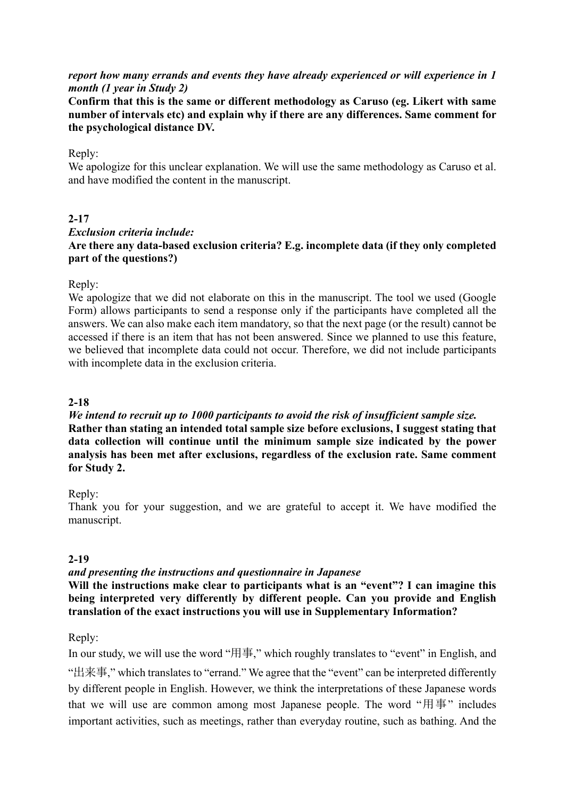## *report how many errands and events they have already experienced or will experience in 1 month (1 year in Study 2)*

**Confirm that this is the same or different methodology as Caruso (eg. Likert with same number of intervals etc) and explain why if there are any differences. Same comment for the psychological distance DV.**

### Reply:

We apologize for this unclear explanation. We will use the same methodology as Caruso et al. and have modified the content in the manuscript.

### **2-17**

# *Exclusion criteria include:* **Are there any data-based exclusion criteria? E.g. incomplete data (if they only completed part of the questions?)**

### Reply:

We apologize that we did not elaborate on this in the manuscript. The tool we used (Google Form) allows participants to send a response only if the participants have completed all the answers. We can also make each item mandatory, so that the next page (or the result) cannot be accessed if there is an item that has not been answered. Since we planned to use this feature, we believed that incomplete data could not occur. Therefore, we did not include participants with incomplete data in the exclusion criteria.

## **2-18**

## *We intend to recruit up to 1000 participants to avoid the risk of insufficient sample size.* **Rather than stating an intended total sample size before exclusions, I suggest stating that data collection will continue until the minimum sample size indicated by the power analysis has been met after exclusions, regardless of the exclusion rate. Same comment for Study 2.**

## Reply:

Thank you for your suggestion, and we are grateful to accept it. We have modified the manuscript.

## **2-19**

## *and presenting the instructions and questionnaire in Japanese*

**Will the instructions make clear to participants what is an "event"? I can imagine this**  being interpreted very differently by different people. Can you provide and English **translation of the exact instructions you will use in Supplementary Information?**

## Reply:

In our study, we will use the word "用事," which roughly translates to "event" in English, and "出来事," which translates to "errand." We agree that the "event" can be interpreted differently by different people in English. However, we think the interpretations of these Japanese words that we will use are common among most Japanese people. The word "用事" includes important activities, such as meetings, rather than everyday routine, such as bathing. And the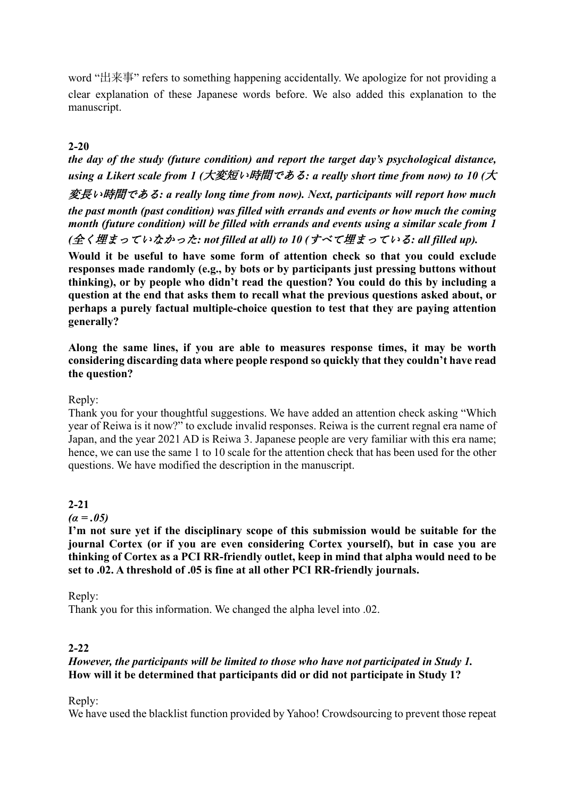word "出来事" refers to something happening accidentally. We apologize for not providing a clear explanation of these Japanese words before. We also added this explanation to the manuscript.

# **2-20**

*the day of the study (future condition) and report the target day's psychological distance, using a Likert scale from 1 (*大変短い時間である*: a really short time from now) to 10 (*大

変長い時間である*: a really long time from now). Next, participants will report how much the past month (past condition) was filled with errands and events or how much the coming month (future condition) will be filled with errands and events using a similar scale from 1 (*全く埋まっていなかった*: not filled at all) to 10 (*すべて埋まっている*: all filled up).*

**Would it be useful to have some form of attention check so that you could exclude responses made randomly (e.g., by bots or by participants just pressing buttons without thinking), or by people who didn't read the question? You could do this by including a question at the end that asks them to recall what the previous questions asked about, or perhaps a purely factual multiple-choice question to test that they are paying attention generally?**

**Along the same lines, if you are able to measures response times, it may be worth considering discarding data where people respond so quickly that they couldn't have read the question?**

## Reply:

Thank you for your thoughtful suggestions. We have added an attention check asking "Which year of Reiwa is it now?" to exclude invalid responses. Reiwa is the current regnal era name of Japan, and the year 2021 AD is Reiwa 3. Japanese people are very familiar with this era name; hence, we can use the same 1 to 10 scale for the attention check that has been used for the other questions. We have modified the description in the manuscript.

#### **2-21**

*(α = .05)*

**I'm not sure yet if the disciplinary scope of this submission would be suitable for the journal Cortex (or if you are even considering Cortex yourself), but in case you are thinking of Cortex as a PCI RR-friendly outlet, keep in mind that alpha would need to be set to .02. A threshold of .05 is fine at all other PCI RR-friendly journals.**

Reply:

Thank you for this information. We changed the alpha level into .02.

## **2-22**

## *However, the participants will be limited to those who have not participated in Study 1.* **How will it be determined that participants did or did not participate in Study 1?**

Reply:

We have used the blacklist function provided by Yahoo! Crowdsourcing to prevent those repeat